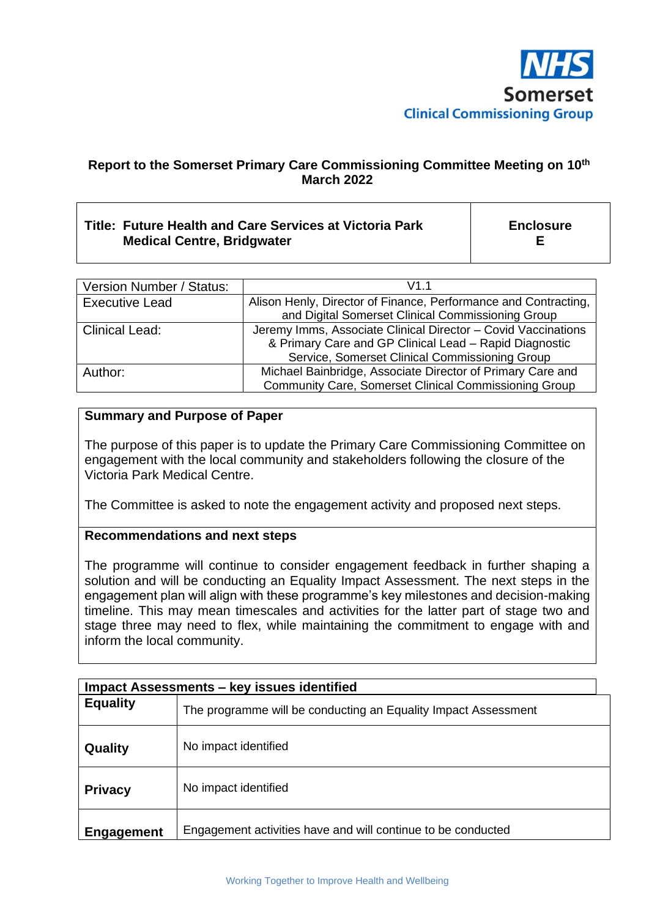

## **Report to the Somerset Primary Care Commissioning Committee Meeting on 10th March 2022**

## **Title: Future Health and Care Services at Victoria Park Medical Centre, Bridgwater**

**Enclosure E**

| Version Number / Status: | V1 1                                                            |
|--------------------------|-----------------------------------------------------------------|
| <b>Executive Lead</b>    | Alison Henly, Director of Finance, Performance and Contracting, |
|                          | and Digital Somerset Clinical Commissioning Group               |
| Clinical Lead:           | Jeremy Imms, Associate Clinical Director - Covid Vaccinations   |
|                          | & Primary Care and GP Clinical Lead - Rapid Diagnostic          |
|                          | Service, Somerset Clinical Commissioning Group                  |
| Author:                  | Michael Bainbridge, Associate Director of Primary Care and      |
|                          | Community Care, Somerset Clinical Commissioning Group           |

### **Summary and Purpose of Paper**

The purpose of this paper is to update the Primary Care Commissioning Committee on engagement with the local community and stakeholders following the closure of the Victoria Park Medical Centre.

The Committee is asked to note the engagement activity and proposed next steps.

#### **Recommendations and next steps**

The programme will continue to consider engagement feedback in further shaping a solution and will be conducting an Equality Impact Assessment. The next steps in the engagement plan will align with these programme's key milestones and decision-making timeline. This may mean timescales and activities for the latter part of stage two and stage three may need to flex, while maintaining the commitment to engage with and inform the local community.

| <b>Impact Assessments - key issues identified</b> |                                                                |
|---------------------------------------------------|----------------------------------------------------------------|
| <b>Equality</b>                                   | The programme will be conducting an Equality Impact Assessment |
| Quality                                           | No impact identified                                           |
| <b>Privacy</b>                                    | No impact identified                                           |
| <b>Engagement</b>                                 | Engagement activities have and will continue to be conducted   |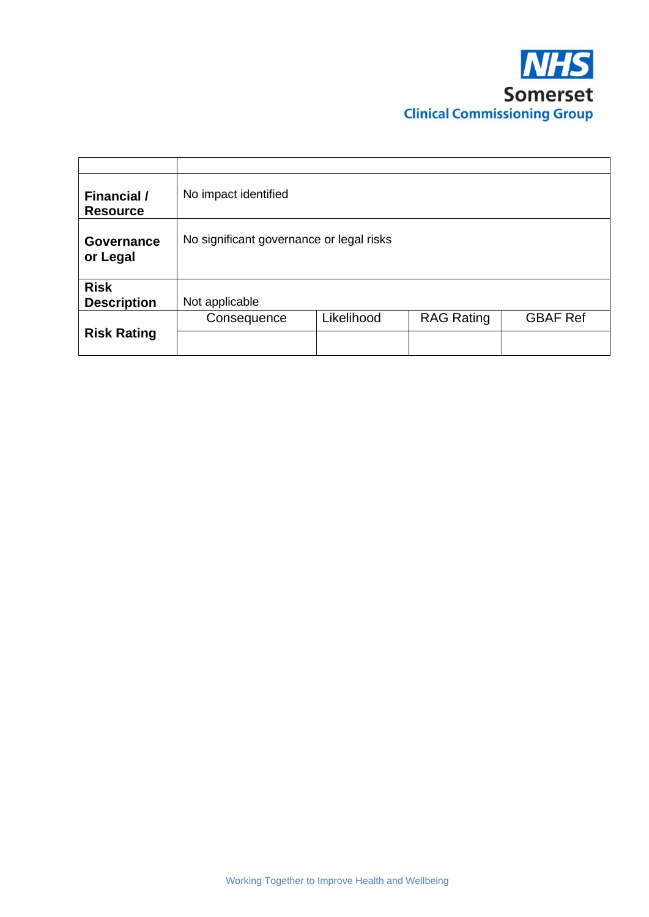

| <b>Financial</b> /<br><b>Resource</b> | No impact identified                     |            |                   |                 |
|---------------------------------------|------------------------------------------|------------|-------------------|-----------------|
| <b>Governance</b><br>or Legal         | No significant governance or legal risks |            |                   |                 |
| <b>Risk</b><br><b>Description</b>     | Not applicable                           |            |                   |                 |
|                                       | Consequence                              | Likelihood | <b>RAG Rating</b> | <b>GBAF Ref</b> |
| <b>Risk Rating</b>                    |                                          |            |                   |                 |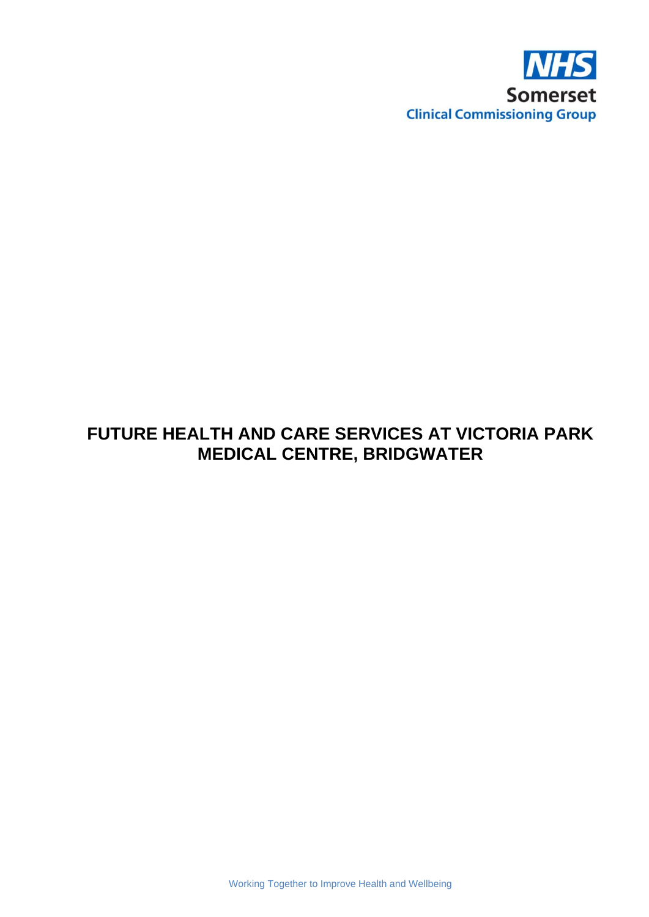

# **FUTURE HEALTH AND CARE SERVICES AT VICTORIA PARK MEDICAL CENTRE, BRIDGWATER**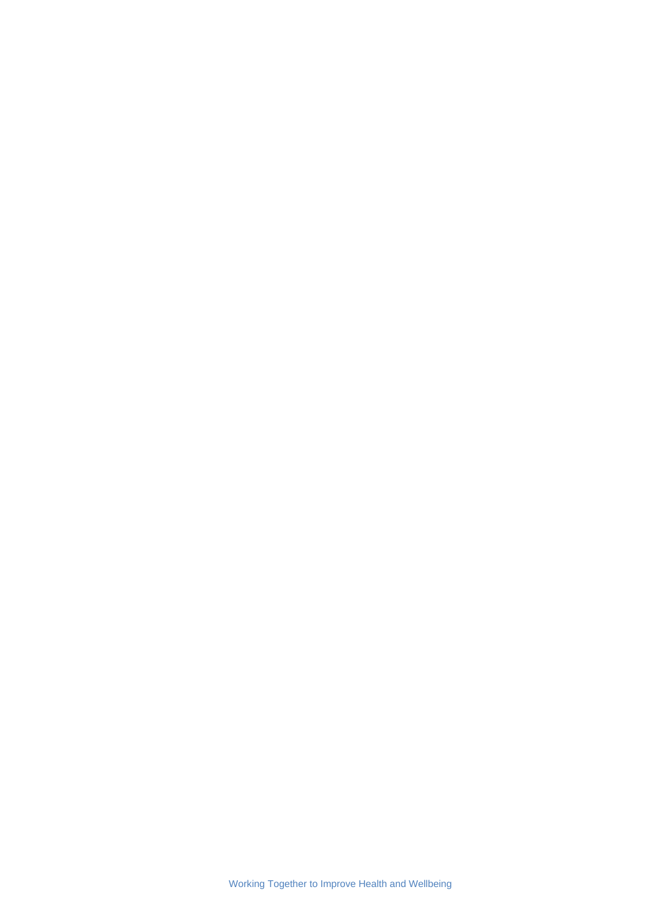Working Together to Improve Health and Wellbeing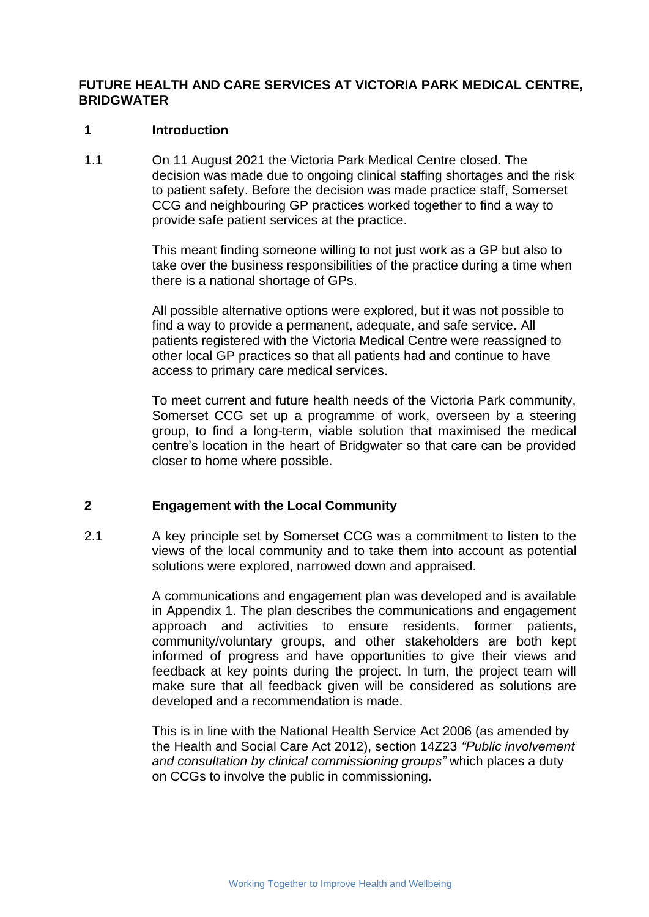### **FUTURE HEALTH AND CARE SERVICES AT VICTORIA PARK MEDICAL CENTRE, BRIDGWATER**

### **1 Introduction**

1.1 On 11 August 2021 the Victoria Park Medical Centre closed. The decision was made due to ongoing clinical staffing shortages and the risk to patient safety. Before the decision was made practice staff, Somerset CCG and neighbouring GP practices worked together to find a way to provide safe patient services at the practice.

> This meant finding someone willing to not just work as a GP but also to take over the business responsibilities of the practice during a time when there is a national shortage of GPs.

All possible alternative options were explored, but it was not possible to find a way to provide a permanent, adequate, and safe service. All patients registered with the Victoria Medical Centre were reassigned to other local GP practices so that all patients had and continue to have access to primary care medical services.

To meet current and future health needs of the Victoria Park community, Somerset CCG set up a programme of work, overseen by a steering group, to find a long-term, viable solution that maximised the medical centre's location in the heart of Bridgwater so that care can be provided closer to home where possible.

### **2 Engagement with the Local Community**

2.1 A key principle set by Somerset CCG was a commitment to listen to the views of the local community and to take them into account as potential solutions were explored, narrowed down and appraised.

> A communications and engagement plan was developed and is available in Appendix 1. The plan describes the communications and engagement approach and activities to ensure residents, former patients, community/voluntary groups, and other stakeholders are both kept informed of progress and have opportunities to give their views and feedback at key points during the project. In turn, the project team will make sure that all feedback given will be considered as solutions are developed and a recommendation is made.

> This is in line with the National Health Service Act 2006 (as amended by the Health and Social Care Act 2012), section 14Z23 *"Public involvement and consultation by clinical commissioning groups"* which places a duty on CCGs to involve the public in commissioning.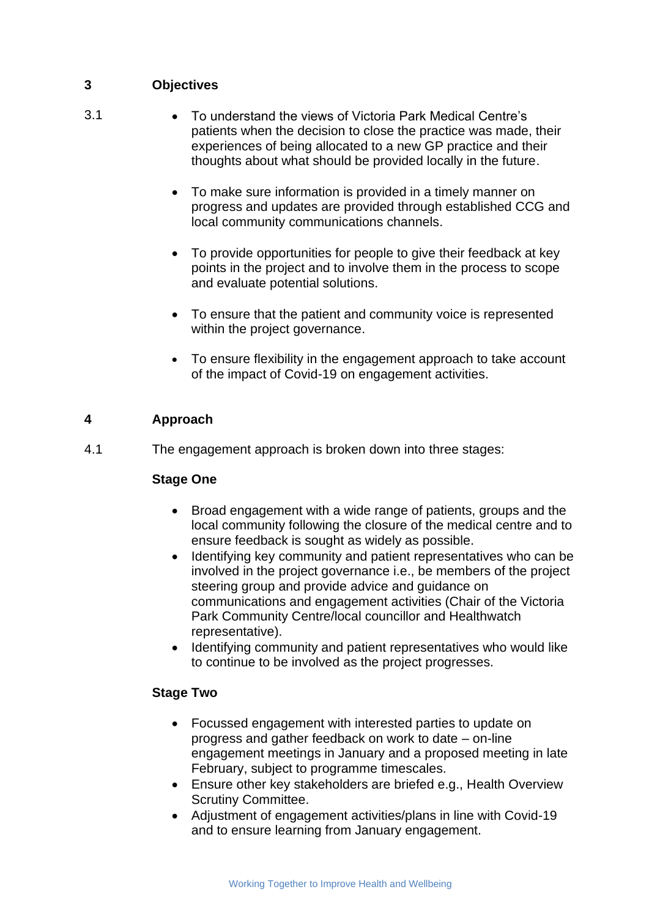## **3 Objectives**

- 3.1 To understand the views of Victoria Park Medical Centre's patients when the decision to close the practice was made, their experiences of being allocated to a new GP practice and their thoughts about what should be provided locally in the future.
	- To make sure information is provided in a timely manner on progress and updates are provided through established CCG and local community communications channels.
	- To provide opportunities for people to give their feedback at key points in the project and to involve them in the process to scope and evaluate potential solutions.
	- To ensure that the patient and community voice is represented within the project governance.
	- To ensure flexibility in the engagement approach to take account of the impact of Covid-19 on engagement activities.

## **4 Approach**

4.1 The engagement approach is broken down into three stages:

### **Stage One**

- Broad engagement with a wide range of patients, groups and the local community following the closure of the medical centre and to ensure feedback is sought as widely as possible.
- Identifying key community and patient representatives who can be involved in the project governance i.e., be members of the project steering group and provide advice and guidance on communications and engagement activities (Chair of the Victoria Park Community Centre/local councillor and Healthwatch representative).
- Identifying community and patient representatives who would like to continue to be involved as the project progresses.

### **Stage Two**

- Focussed engagement with interested parties to update on progress and gather feedback on work to date – on-line engagement meetings in January and a proposed meeting in late February, subject to programme timescales.
- Ensure other key stakeholders are briefed e.g., Health Overview Scrutiny Committee.
- Adjustment of engagement activities/plans in line with Covid-19 and to ensure learning from January engagement.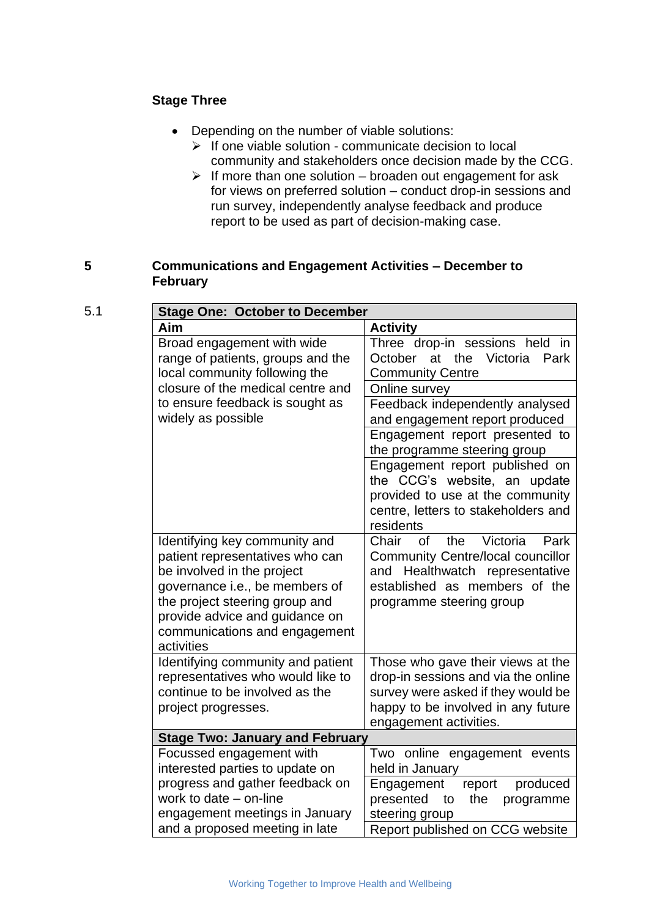## **Stage Three**

- Depending on the number of viable solutions:
	- $\triangleright$  If one viable solution communicate decision to local community and stakeholders once decision made by the CCG.
	- $\triangleright$  If more than one solution broaden out engagement for ask for views on preferred solution – conduct drop-in sessions and run survey, independently analyse feedback and produce report to be used as part of decision-making case.

### **5 Communications and Engagement Activities – December to February**

| 5.1                                                                 | <b>Stage One: October to December</b>                                    |  |  |  |
|---------------------------------------------------------------------|--------------------------------------------------------------------------|--|--|--|
| Aim                                                                 | <b>Activity</b>                                                          |  |  |  |
| Broad engagement with wide                                          | Three drop-in sessions held in                                           |  |  |  |
| range of patients, groups and the                                   | October at the Victoria<br>Park                                          |  |  |  |
| local community following the                                       | <b>Community Centre</b>                                                  |  |  |  |
| closure of the medical centre and                                   | Online survey                                                            |  |  |  |
| to ensure feedback is sought as                                     | Feedback independently analysed                                          |  |  |  |
| widely as possible                                                  | and engagement report produced                                           |  |  |  |
|                                                                     | Engagement report presented to                                           |  |  |  |
|                                                                     | the programme steering group                                             |  |  |  |
|                                                                     | Engagement report published on                                           |  |  |  |
|                                                                     | the CCG's website, an update                                             |  |  |  |
|                                                                     | provided to use at the community                                         |  |  |  |
|                                                                     | centre, letters to stakeholders and                                      |  |  |  |
|                                                                     | residents                                                                |  |  |  |
| Identifying key community and                                       | Victoria<br>Chair<br><b>of</b><br>the<br>Park                            |  |  |  |
| patient representatives who can                                     | <b>Community Centre/local councillor</b>                                 |  |  |  |
| be involved in the project                                          | and Healthwatch representative                                           |  |  |  |
| governance i.e., be members of                                      | established as members of the                                            |  |  |  |
| the project steering group and                                      | programme steering group                                                 |  |  |  |
| provide advice and guidance on                                      |                                                                          |  |  |  |
| communications and engagement                                       |                                                                          |  |  |  |
| activities                                                          |                                                                          |  |  |  |
| Identifying community and patient                                   | Those who gave their views at the                                        |  |  |  |
| representatives who would like to<br>continue to be involved as the | drop-in sessions and via the online                                      |  |  |  |
|                                                                     | survey were asked if they would be<br>happy to be involved in any future |  |  |  |
| project progresses.                                                 | engagement activities.                                                   |  |  |  |
| <b>Stage Two: January and February</b>                              |                                                                          |  |  |  |
| Focussed engagement with                                            | Two online engagement events                                             |  |  |  |
| interested parties to update on                                     | held in January                                                          |  |  |  |
| progress and gather feedback on                                     | Engagement<br>produced<br>report                                         |  |  |  |
| work to date $-$ on-line                                            | presented<br>to<br>the<br>programme                                      |  |  |  |
| engagement meetings in January                                      | steering group                                                           |  |  |  |
| and a proposed meeting in late                                      | Report published on CCG website                                          |  |  |  |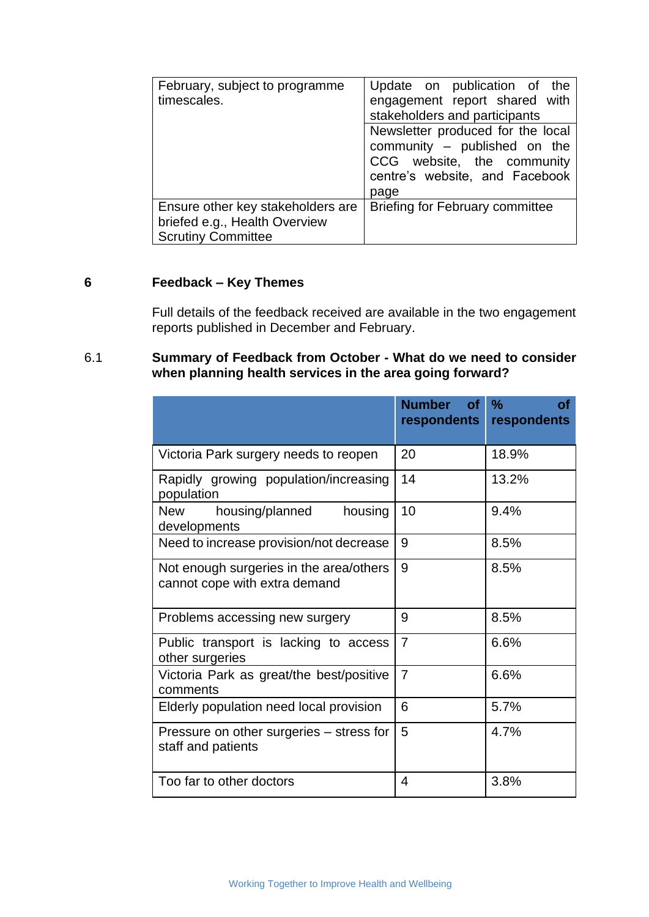| February, subject to programme<br>timescales.                                                   | Update on publication of the<br>engagement report shared with<br>stakeholders and participants<br>Newsletter produced for the local<br>community - published on the<br>CCG website, the community<br>centre's website, and Facebook<br>page |
|-------------------------------------------------------------------------------------------------|---------------------------------------------------------------------------------------------------------------------------------------------------------------------------------------------------------------------------------------------|
| Ensure other key stakeholders are<br>briefed e.g., Health Overview<br><b>Scrutiny Committee</b> | <b>Briefing for February committee</b>                                                                                                                                                                                                      |

## **6 Feedback – Key Themes**

Full details of the feedback received are available in the two engagement reports published in December and February.

## 6.1 **Summary of Feedback from October - What do we need to consider when planning health services in the area going forward?**

|                                                                          | <b>Number</b><br><b>of</b><br>respondents | $\frac{9}{6}$<br>οf<br>respondents |
|--------------------------------------------------------------------------|-------------------------------------------|------------------------------------|
| Victoria Park surgery needs to reopen                                    | 20                                        | 18.9%                              |
| Rapidly growing population/increasing<br>population                      | 14                                        | 13.2%                              |
| <b>New</b><br>housing/planned<br>housing<br>developments                 | 10                                        | 9.4%                               |
| Need to increase provision/not decrease                                  | 9                                         | 8.5%                               |
| Not enough surgeries in the area/others<br>cannot cope with extra demand | 9                                         | 8.5%                               |
| Problems accessing new surgery                                           | 9                                         | 8.5%                               |
| Public transport is lacking to access<br>other surgeries                 | $\overline{7}$                            | 6.6%                               |
| Victoria Park as great/the best/positive<br>comments                     | $\overline{7}$                            | 6.6%                               |
| Elderly population need local provision                                  | 6                                         | 5.7%                               |
| Pressure on other surgeries – stress for<br>staff and patients           | 5                                         | 4.7%                               |
| Too far to other doctors                                                 | 4                                         | 3.8%                               |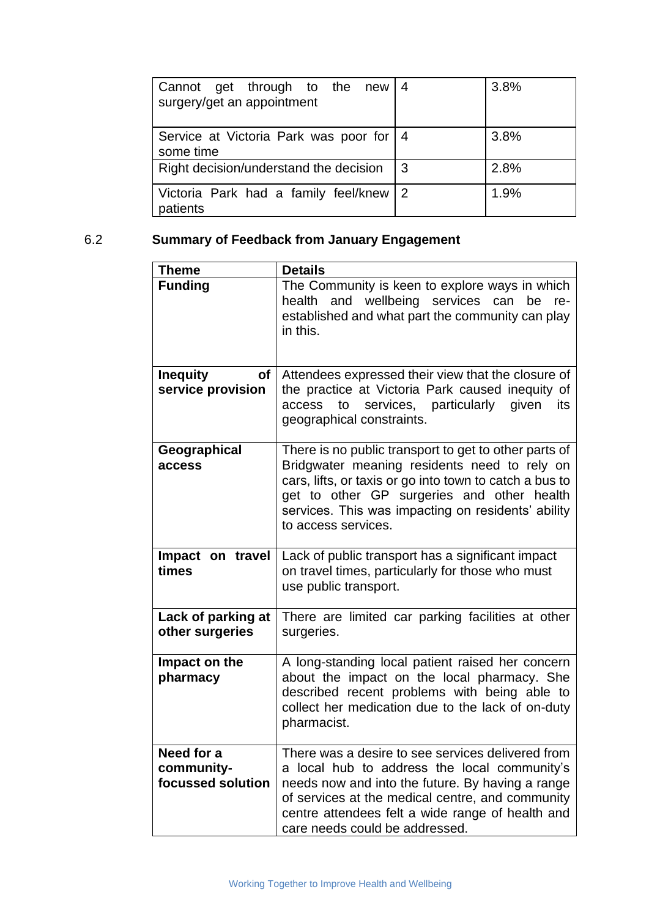| Cannot get through to the<br>$new \mid 4$<br>surgery/get an appointment |   | 3.8% |
|-------------------------------------------------------------------------|---|------|
| Service at Victoria Park was poor for   4<br>some time                  |   | 3.8% |
| Right decision/understand the decision                                  | 3 | 2.8% |
| Victoria Park had a family feel/knew 2<br>patients                      |   | 1.9% |

# 6.2 **Summary of Feedback from January Engagement**

| <b>Theme</b>                                      | <b>Details</b>                                                                                                                                                                                                                                                                                  |
|---------------------------------------------------|-------------------------------------------------------------------------------------------------------------------------------------------------------------------------------------------------------------------------------------------------------------------------------------------------|
| <b>Funding</b>                                    | The Community is keen to explore ways in which<br>health and wellbeing services<br>can be re-<br>established and what part the community can play<br>in this.                                                                                                                                   |
| <b>Inequity</b><br><b>of</b><br>service provision | Attendees expressed their view that the closure of<br>the practice at Victoria Park caused inequity of<br>services, particularly<br>to<br>given<br>access<br>its<br>geographical constraints.                                                                                                   |
| Geographical<br>access                            | There is no public transport to get to other parts of<br>Bridgwater meaning residents need to rely on<br>cars, lifts, or taxis or go into town to catch a bus to<br>get to other GP surgeries and other health<br>services. This was impacting on residents' ability<br>to access services.     |
| Impact on travel<br>times                         | Lack of public transport has a significant impact<br>on travel times, particularly for those who must<br>use public transport.                                                                                                                                                                  |
| Lack of parking at<br>other surgeries             | There are limited car parking facilities at other<br>surgeries.                                                                                                                                                                                                                                 |
| Impact on the<br>pharmacy                         | A long-standing local patient raised her concern<br>about the impact on the local pharmacy. She<br>described recent problems with being able to<br>collect her medication due to the lack of on-duty<br>pharmacist.                                                                             |
| Need for a<br>community-<br>focussed solution     | There was a desire to see services delivered from<br>a local hub to address the local community's<br>needs now and into the future. By having a range<br>of services at the medical centre, and community<br>centre attendees felt a wide range of health and<br>care needs could be addressed. |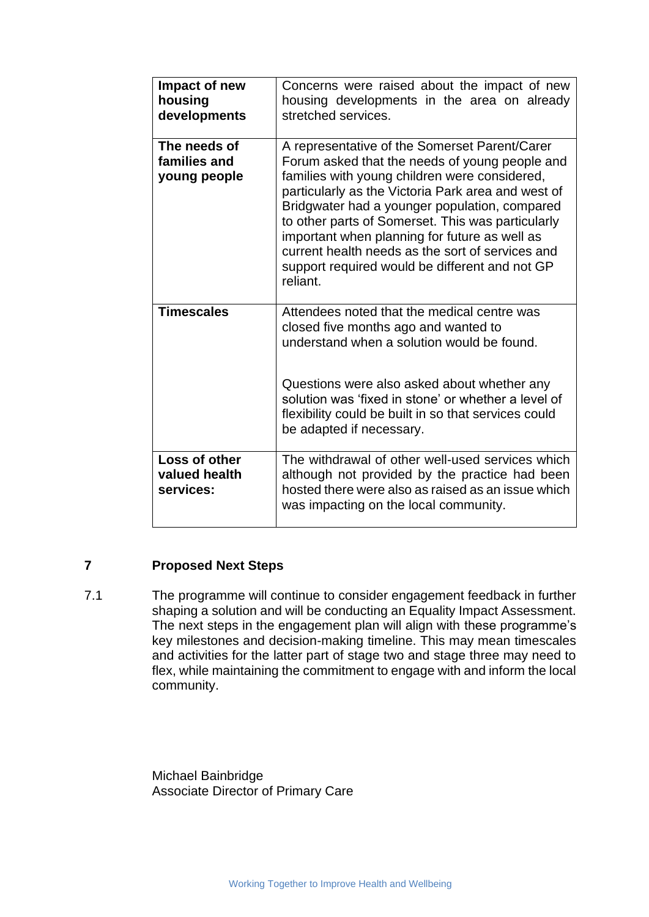| Impact of new<br>housing<br>developments     | Concerns were raised about the impact of new<br>housing developments in the area on already<br>stretched services.                                                                                                                                                                                                                                                                                                                                                              |
|----------------------------------------------|---------------------------------------------------------------------------------------------------------------------------------------------------------------------------------------------------------------------------------------------------------------------------------------------------------------------------------------------------------------------------------------------------------------------------------------------------------------------------------|
| The needs of<br>families and<br>young people | A representative of the Somerset Parent/Carer<br>Forum asked that the needs of young people and<br>families with young children were considered,<br>particularly as the Victoria Park area and west of<br>Bridgwater had a younger population, compared<br>to other parts of Somerset. This was particularly<br>important when planning for future as well as<br>current health needs as the sort of services and<br>support required would be different and not GP<br>reliant. |
| <b>Timescales</b>                            | Attendees noted that the medical centre was<br>closed five months ago and wanted to<br>understand when a solution would be found.<br>Questions were also asked about whether any<br>solution was 'fixed in stone' or whether a level of<br>flexibility could be built in so that services could<br>be adapted if necessary.                                                                                                                                                     |
| Loss of other<br>valued health<br>services:  | The withdrawal of other well-used services which<br>although not provided by the practice had been<br>hosted there were also as raised as an issue which<br>was impacting on the local community.                                                                                                                                                                                                                                                                               |

### **7 Proposed Next Steps**

7.1 The programme will continue to consider engagement feedback in further shaping a solution and will be conducting an Equality Impact Assessment. The next steps in the engagement plan will align with these programme's key milestones and decision-making timeline. This may mean timescales and activities for the latter part of stage two and stage three may need to flex, while maintaining the commitment to engage with and inform the local community.

> Michael Bainbridge Associate Director of Primary Care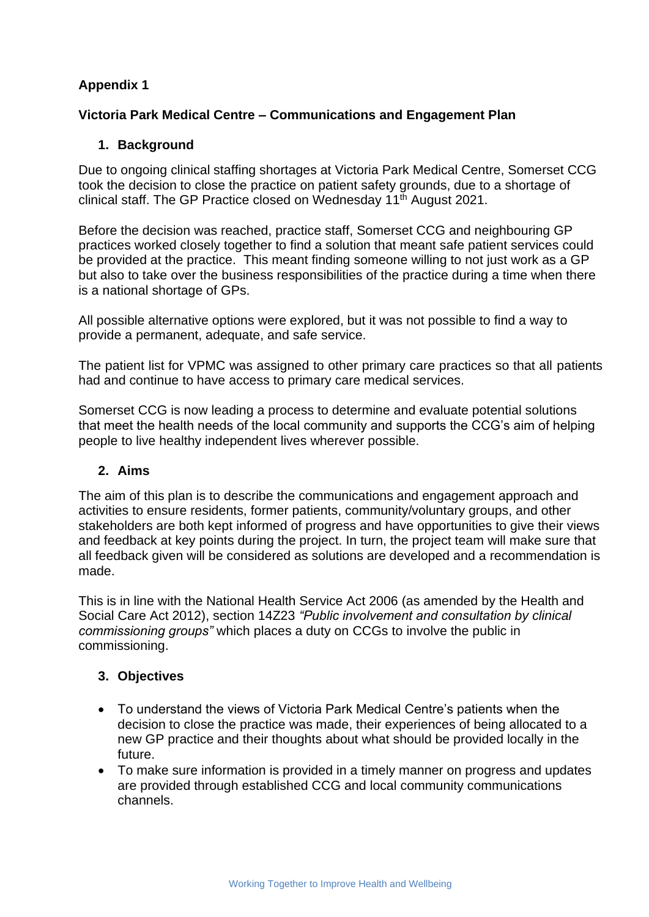## **Appendix 1**

## **Victoria Park Medical Centre – Communications and Engagement Plan**

## **1. Background**

Due to ongoing clinical staffing shortages at Victoria Park Medical Centre, Somerset CCG took the decision to close the practice on patient safety grounds, due to a shortage of clinical staff. The GP Practice closed on Wednesday 11<sup>th</sup> August 2021.

Before the decision was reached, practice staff, Somerset CCG and neighbouring GP practices worked closely together to find a solution that meant safe patient services could be provided at the practice. This meant finding someone willing to not just work as a GP but also to take over the business responsibilities of the practice during a time when there is a national shortage of GPs.

All possible alternative options were explored, but it was not possible to find a way to provide a permanent, adequate, and safe service.

The patient list for VPMC was assigned to other primary care practices so that all patients had and continue to have access to primary care medical services.

Somerset CCG is now leading a process to determine and evaluate potential solutions that meet the health needs of the local community and supports the CCG's aim of helping people to live healthy independent lives wherever possible.

### **2. Aims**

The aim of this plan is to describe the communications and engagement approach and activities to ensure residents, former patients, community/voluntary groups, and other stakeholders are both kept informed of progress and have opportunities to give their views and feedback at key points during the project. In turn, the project team will make sure that all feedback given will be considered as solutions are developed and a recommendation is made.

This is in line with the National Health Service Act 2006 (as amended by the Health and Social Care Act 2012), section 14Z23 *"Public involvement and consultation by clinical commissioning groups"* which places a duty on CCGs to involve the public in commissioning.

## **3. Objectives**

- To understand the views of Victoria Park Medical Centre's patients when the decision to close the practice was made, their experiences of being allocated to a new GP practice and their thoughts about what should be provided locally in the future.
- To make sure information is provided in a timely manner on progress and updates are provided through established CCG and local community communications channels.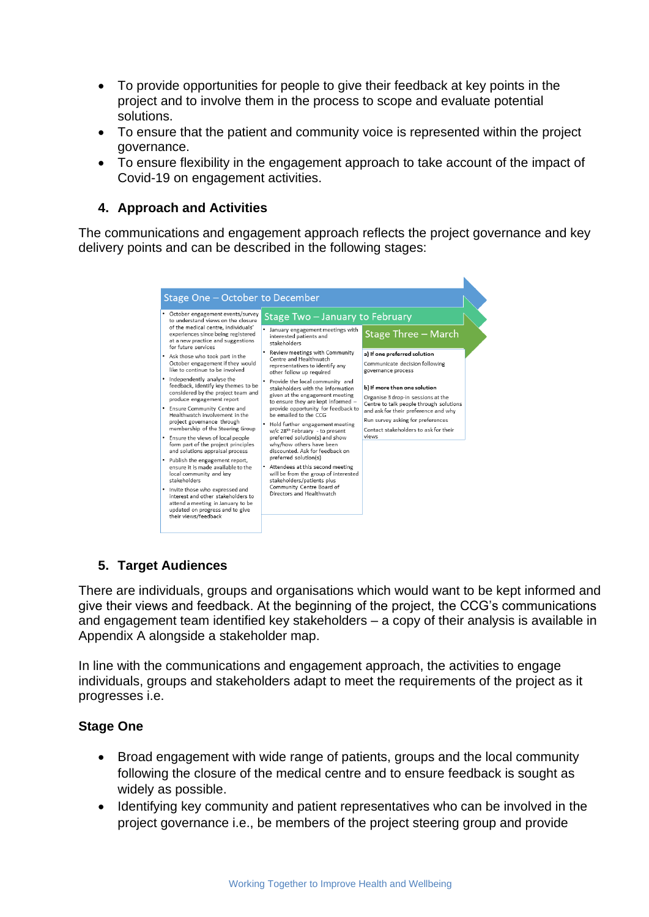- To provide opportunities for people to give their feedback at key points in the project and to involve them in the process to scope and evaluate potential solutions.
- To ensure that the patient and community voice is represented within the project governance.
- To ensure flexibility in the engagement approach to take account of the impact of Covid-19 on engagement activities.

## **4. Approach and Activities**

The communications and engagement approach reflects the project governance and key delivery points and can be described in the following stages:



### **5. Target Audiences**

There are individuals, groups and organisations which would want to be kept informed and give their views and feedback. At the beginning of the project, the CCG's communications and engagement team identified key stakeholders – a copy of their analysis is available in Appendix A alongside a stakeholder map.

In line with the communications and engagement approach, the activities to engage individuals, groups and stakeholders adapt to meet the requirements of the project as it progresses i.e.

### **Stage One**

- Broad engagement with wide range of patients, groups and the local community following the closure of the medical centre and to ensure feedback is sought as widely as possible.
- Identifying key community and patient representatives who can be involved in the project governance i.e., be members of the project steering group and provide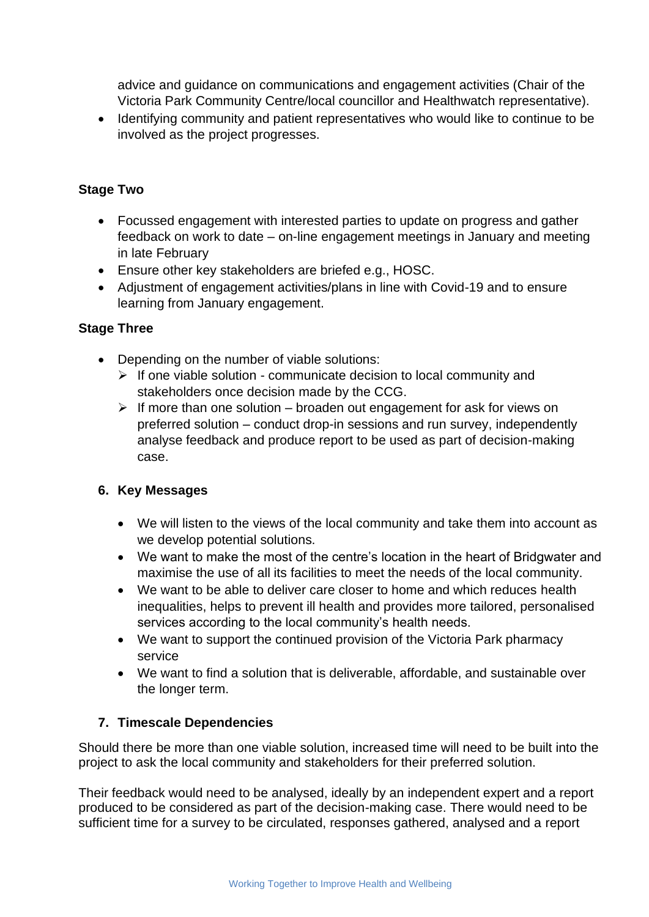advice and guidance on communications and engagement activities (Chair of the Victoria Park Community Centre/local councillor and Healthwatch representative).

• Identifying community and patient representatives who would like to continue to be involved as the project progresses.

# **Stage Two**

- Focussed engagement with interested parties to update on progress and gather feedback on work to date – on-line engagement meetings in January and meeting in late February
- Ensure other key stakeholders are briefed e.g., HOSC.
- Adjustment of engagement activities/plans in line with Covid-19 and to ensure learning from January engagement.

## **Stage Three**

- Depending on the number of viable solutions:
	- $\triangleright$  If one viable solution communicate decision to local community and stakeholders once decision made by the CCG.
	- $\triangleright$  If more than one solution broaden out engagement for ask for views on preferred solution – conduct drop-in sessions and run survey, independently analyse feedback and produce report to be used as part of decision-making case.

## **6. Key Messages**

- We will listen to the views of the local community and take them into account as we develop potential solutions.
- We want to make the most of the centre's location in the heart of Bridgwater and maximise the use of all its facilities to meet the needs of the local community.
- We want to be able to deliver care closer to home and which reduces health inequalities, helps to prevent ill health and provides more tailored, personalised services according to the local community's health needs.
- We want to support the continued provision of the Victoria Park pharmacy service
- We want to find a solution that is deliverable, affordable, and sustainable over the longer term.

## **7. Timescale Dependencies**

Should there be more than one viable solution, increased time will need to be built into the project to ask the local community and stakeholders for their preferred solution.

Their feedback would need to be analysed, ideally by an independent expert and a report produced to be considered as part of the decision-making case. There would need to be sufficient time for a survey to be circulated, responses gathered, analysed and a report